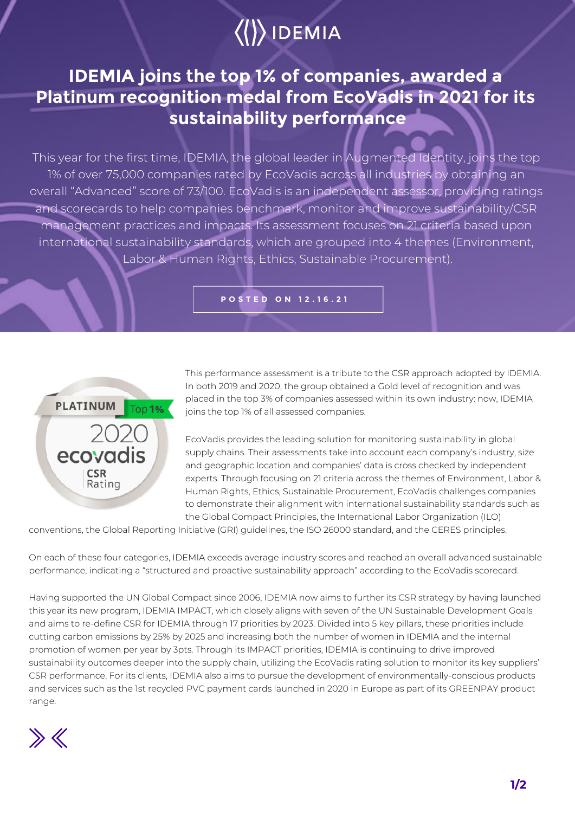## $\langle\langle\rangle\rangle$  IDEMIA

## **IDEMIA joins the top 1% of companies, awarded a Platinum recognition medal from EcoVadis in 2021 for its sustainability performance**

This year for the first time, IDEMIA, the global leader in Augmented Identity, joins the top 1% of over 75,000 companies rated by EcoVadis across all industries by obtaining an overall "Advanced" score of 73/100. EcoVadis is an independent assessor, providing ratings and scorecards to help companies benchmark, monitor and improve sustainability/CSR management practices and impacts. Its assessment focuses on 21 criteria based upon international sustainability standards, which are grouped into 4 themes (Environment, Labor & Human Rights, Ethics, Sustainable Procurement).

**POSTED ON 12.16.21**



This performance assessment is a tribute to the CSR approach adopted by IDEMIA. In both 2019 and 2020, the group obtained a Gold level of recognition and was placed in the top 3% of companies assessed within its own industry: now, IDEMIA joins the top 1% of all assessed companies.

EcoVadis provides the leading solution for monitoring sustainability in global supply chains. Their assessments take into account each company's industry, size and geographic location and companies' data is cross checked by independent experts. Through focusing on 21 criteria across the themes of Environment, Labor & Human Rights, Ethics, Sustainable Procurement, EcoVadis challenges companies to demonstrate their alignment with international sustainability standards such as the Global Compact Principles, the International Labor Organization (ILO)

conventions, the Global Reporting Initiative (GRI) guidelines, the ISO 26000 standard, and the CERES principles.

On each of these four categories, IDEMIA exceeds average industry scores and reached an overall advanced sustainable performance, indicating a "structured and proactive sustainability approach" according to the EcoVadis scorecard.

Having supported the UN Global Compact since 2006, IDEMIA now aims to further its CSR strategy by having launched this year its new program, IDEMIA IMPACT, which closely aligns with seven of the UN Sustainable Development Goals and aims to re-define CSR for IDEMIA through 17 priorities by 2023. Divided into 5 key pillars, these priorities include cutting carbon emissions by 25% by 2025 and increasing both the number of women in IDEMIA and the internal promotion of women per year by 3pts. Through its IMPACT priorities, IDEMIA is continuing to drive improved sustainability outcomes deeper into the supply chain, utilizing the EcoVadis rating solution to monitor its key suppliers' CSR performance. For its clients, IDEMIA also aims to pursue the development of environmentally-conscious products and services such as the 1st recycled PVC payment cards launched in 2020 in Europe as part of its GREENPAY product range.